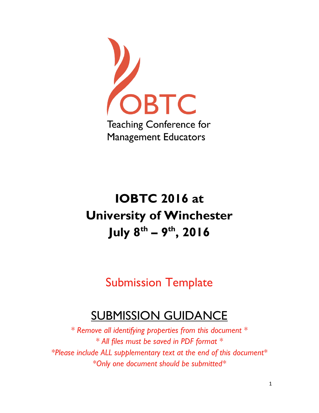

# **IOBTC 2016 at University of Winchester July 8 th – 9 th, 2016**

Submission Template

## SUBMISSION GUIDANCE

*\* Remove all identifying properties from this document \* \* All files must be saved in PDF format \* \*Please include ALL supplementary text at the end of this document\* \*Only one document should be submitted\**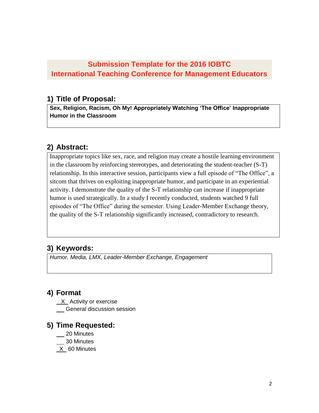## **Submission Template for the 2016 IOBTC International Teaching Conference for Management Educators**

#### **1) Title of Proposal:**

**Sex, Religion, Racism, Oh My! Appropriately Watching 'The Office' Inappropriate Humor in the Classroom**

## **2) Abstract:**

Inappropriate topics like sex, race, and religion may create a hostile learning environment in the classroom by reinforcing stereotypes, and deteriorating the student-teacher (S-T) relationship. In this interactive session, participants view a full episode of "The Office", a sitcom that thrives on exploiting inappropriate humor, and participate in an experiential activity. I demonstrate the quality of the S-T relationship can increase if inappropriate humor is used strategically. In a study I recently conducted, students watched 9 full episodes of "The Office" during the semester. Using Leader-Member Exchange theory, the quality of the S-T relationship significantly increased, contradictory to research.

## **3) Keywords:**

*Humor, Media, LMX, Leader-Member Exchange, Engagement*

## **4) Format**

- $X$  Activity or exercise
- **CENTER CONTERNATE:** General discussion session

#### **5) Time Requested:**

- \_\_ 20 Minutes
- 50 Minutes
- $X$  60 Minutes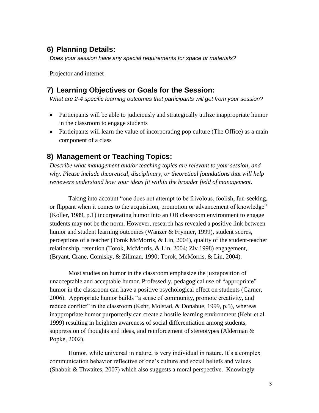#### **6) Planning Details:**

*Does your session have any special requirements for space or materials?*

Projector and internet

#### **7) Learning Objectives or Goals for the Session:**

*What are 2-4 specific learning outcomes that participants will get from your session?* 

- Participants will be able to judiciously and strategically utilize inappropriate humor in the classroom to engage students
- Participants will learn the value of incorporating pop culture (The Office) as a main component of a class

## **8) Management or Teaching Topics:**

*Describe what management and/or teaching topics are relevant to your session, and why. Please include theoretical, disciplinary, or theoretical foundations that will help reviewers understand how your ideas fit within the broader field of management.*

Taking into account "one does not attempt to be frivolous, foolish, fun-seeking, or flippant when it comes to the acquisition, promotion or advancement of knowledge" (Koller, 1989, p.1) incorporating humor into an OB classroom environment to engage students may not be the norm. However, research has revealed a positive link between humor and student learning outcomes (Wanzer & Frymier, 1999), student scores, perceptions of a teacher (Torok McMorris, & Lin, 2004), quality of the student-teacher relationship, retention (Torok, McMorris, & Lin, 2004; Ziv 1998) engagement, (Bryant, Crane, Comisky, & Zillman, 1990; Torok, McMorris, & Lin, 2004).

Most studies on humor in the classroom emphasize the juxtaposition of unacceptable and acceptable humor. Professedly, pedagogical use of "appropriate" humor in the classroom can have a positive psychological effect on students (Garner, 2006). Appropriate humor builds "a sense of community, promote creativity, and reduce conflict" in the classroom (Kehr, Molstad, & Donahue, 1999, p.5), whereas inappropriate humor purportedly can create a hostile learning environment (Kehr et al 1999) resulting in heighten awareness of social differentiation among students, suppression of thoughts and ideas, and reinforcement of stereotypes (Alderman & Popke, 2002).

Humor, while universal in nature, is very individual in nature. It's a complex communication behavior reflective of one's culture and social beliefs and values (Shabbir & Thwaites, 2007) which also suggests a moral perspective. Knowingly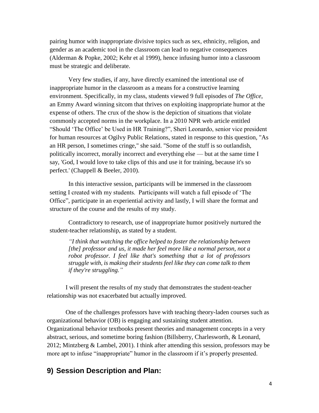pairing humor with inappropriate divisive topics such as sex, ethnicity, religion, and gender as an academic tool in the classroom can lead to negative consequences (Alderman & Popke, 2002; Kehr et al 1999), hence infusing humor into a classroom must be strategic and deliberate.

Very few studies, if any, have directly examined the intentional use of inappropriate humor in the classroom as a means for a constructive learning environment. Specifically, in my class, students viewed 9 full episodes of *The Office*, an Emmy Award winning sitcom that thrives on exploiting inappropriate humor at the expense of others. The crux of the show is the depiction of situations that violate commonly accepted norms in the workplace. In a 2010 NPR web article entitled "Should 'The Office' be Used in HR Training?", Sheri Leonardo, senior vice president for human resources at [Ogilvy Public Relations,](http://www.ogilvypr.com/) stated in response to this question, "As an HR person, I sometimes cringe," she said. "Some of the stuff is so outlandish, politically incorrect, morally incorrect and everything else — but at the same time I say, 'God, I would love to take clips of this and use it for training, because it's so perfect.' (Chappell & Beeler, 2010).

In this interactive session, participants will be immersed in the classroom setting I created with my students. Participants will watch a full episode of 'The Office", participate in an experiential activity and lastly, I will share the format and structure of the course and the results of my study.

Contradictory to research, use of inappropriate humor positively nurtured the student-teacher relationship, as stated by a student.

*"I think that watching the office helped to foster the relationship between [the] professor and us, it made her feel more like a normal person, not a robot professor. I feel like that's something that a lot of professors struggle with, is making their students feel like they can come talk to them if they're struggling."*

I will present the results of my study that demonstrates the student-teacher relationship was not exacerbated but actually improved.

One of the challenges professors have with teaching theory-laden courses such as organizational behavior (OB) is engaging and sustaining student attention. Organizational behavior textbooks present theories and management concepts in a very abstract, serious, and sometime boring fashion (Billsberry, Charlesworth, & Leonard, 2012; Mintzberg & Lambel, 2001). I think after attending this session, professors may be more apt to infuse "inappropriate" humor in the classroom if it's properly presented.

#### **9) Session Description and Plan:**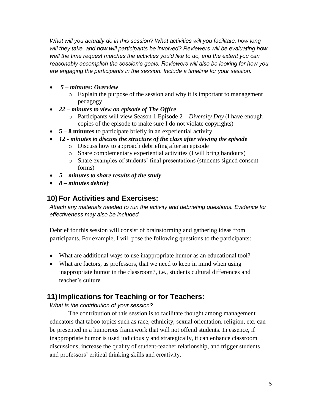*What will you actually do in this session? What activities will you facilitate, how long will they take, and how will participants be involved? Reviewers will be evaluating how well the time request matches the activities you'd like to do, and the extent you can reasonably accomplish the session's goals. Reviewers will also be looking for how you are engaging the participants in the session. Include a timeline for your session.*

- *5 – minutes: Overview*
	- o Explain the purpose of the session and why it is important to management pedagogy
- *22 – minutes to view an episode of The Office*
	- o Participants will view Season 1 Episode 2 *Diversity Day* (I have enough copies of the episode to make sure I do not violate copyrights)
- **5 – 8 minutes** to participate briefly in an experiential activity
- *12 - minutes to discuss the structure of the class after viewing the episode*
	- o Discuss how to approach debriefing after an episode
	- o Share complementary experiential activities (I will bring handouts)
	- o Share examples of students' final presentations (students signed consent forms)
- *5 – minutes to share results of the study*
- *8 – minutes debrief*

## **10) For Activities and Exercises:**

*Attach any materials needed to run the activity and debriefing questions. Evidence for effectiveness may also be included.*

Debrief for this session will consist of brainstorming and gathering ideas from participants. For example, I will pose the following questions to the participants:

- What are additional ways to use inappropriate humor as an educational tool?
- What are factors, as professors, that we need to keep in mind when using inappropriate humor in the classroom?, i.e., students cultural differences and teacher's culture

## **11)Implications for Teaching or for Teachers:**

*What is the contribution of your session?* 

The contribution of this session is to facilitate thought among management educators that taboo topics such as race, ethnicity, sexual orientation, religion, etc. can be presented in a humorous framework that will not offend students. In essence, if inappropriate humor is used judiciously and strategically, it can enhance classroom discussions, increase the quality of student-teacher relationship, and trigger students and professors' critical thinking skills and creativity.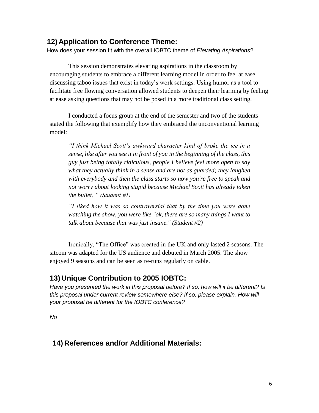#### **12) Application to Conference Theme:**

How does your session fit with the overall IOBTC theme of *Elevating Aspirations*?

This session demonstrates elevating aspirations in the classroom by encouraging students to embrace a different learning model in order to feel at ease discussing taboo issues that exist in today's work settings. Using humor as a tool to facilitate free flowing conversation allowed students to deepen their learning by feeling at ease asking questions that may not be posed in a more traditional class setting.

I conducted a focus group at the end of the semester and two of the students stated the following that exemplify how they embraced the unconventional learning model:

*"I think Michael Scott's awkward character kind of broke the ice in a sense, like after you see it in front of you in the beginning of the class, this guy just being totally ridiculous, people I believe feel more open to say what they actually think in a sense and are not as guarded; they laughed with everybody and then the class starts so now you're free to speak and not worry about looking stupid because Michael Scott has already taken the bullet. " (Student #1)*

*"I liked how it was so controversial that by the time you were done watching the show, you were like "ok, there are so many things I want to talk about because that was just insane." (Student #2)*

Ironically, "The Office" was created in the UK and only lasted 2 seasons. The sitcom was adapted for the US audience and debuted in March 2005. The show enjoyed 9 seasons and can be seen as re-runs regularly on cable.

#### **13) Unique Contribution to 2005 IOBTC:**

*Have you presented the work in this proposal before? If so, how will it be different? Is*  this proposal under current review somewhere else? If so, please explain. How will *your proposal be different for the IOBTC conference?*

*No*

#### **14) References and/or Additional Materials:**